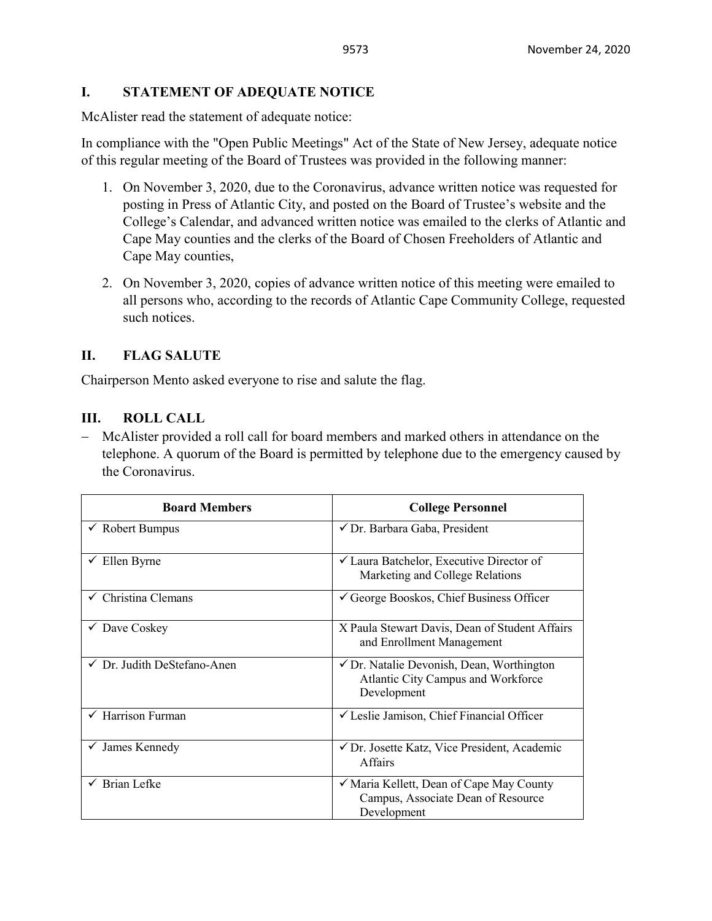### **I. STATEMENT OF ADEQUATE NOTICE**

McAlister read the statement of adequate notice:

In compliance with the "Open Public Meetings" Act of the State of New Jersey, adequate notice of this regular meeting of the Board of Trustees was provided in the following manner:

- 1. On November 3, 2020, due to the Coronavirus, advance written notice was requested for posting in Press of Atlantic City, and posted on the Board of Trustee's website and the College's Calendar, and advanced written notice was emailed to the clerks of Atlantic and Cape May counties and the clerks of the Board of Chosen Freeholders of Atlantic and Cape May counties,
- 2. On November 3, 2020, copies of advance written notice of this meeting were emailed to all persons who, according to the records of Atlantic Cape Community College, requested such notices.

### **II. FLAG SALUTE**

Chairperson Mento asked everyone to rise and salute the flag.

#### **III. ROLL CALL**

− McAlister provided a roll call for board members and marked others in attendance on the telephone. A quorum of the Board is permitted by telephone due to the emergency caused by the Coronavirus.

| <b>Board Members</b>                   | <b>College Personnel</b>                                                                                  |  |  |
|----------------------------------------|-----------------------------------------------------------------------------------------------------------|--|--|
| $\checkmark$ Robert Bumpus             | √ Dr. Barbara Gaba, President                                                                             |  |  |
| $\checkmark$ Ellen Byrne               | $\checkmark$ Laura Batchelor, Executive Director of<br>Marketing and College Relations                    |  |  |
| $\checkmark$ Christina Clemans         | $\checkmark$ George Booskos, Chief Business Officer                                                       |  |  |
| $\checkmark$ Dave Coskey               | X Paula Stewart Davis, Dean of Student Affairs<br>and Enrollment Management                               |  |  |
| $\checkmark$ Dr. Judith DeStefano-Anen | $\checkmark$ Dr. Natalie Devonish, Dean, Worthington<br>Atlantic City Campus and Workforce<br>Development |  |  |
| Harrison Furman                        | √ Leslie Jamison, Chief Financial Officer                                                                 |  |  |
| James Kennedy<br>$\checkmark$          | √ Dr. Josette Katz, Vice President, Academic<br><b>Affairs</b>                                            |  |  |
| $\checkmark$ Brian Lefke               | ✓ Maria Kellett, Dean of Cape May County<br>Campus, Associate Dean of Resource<br>Development             |  |  |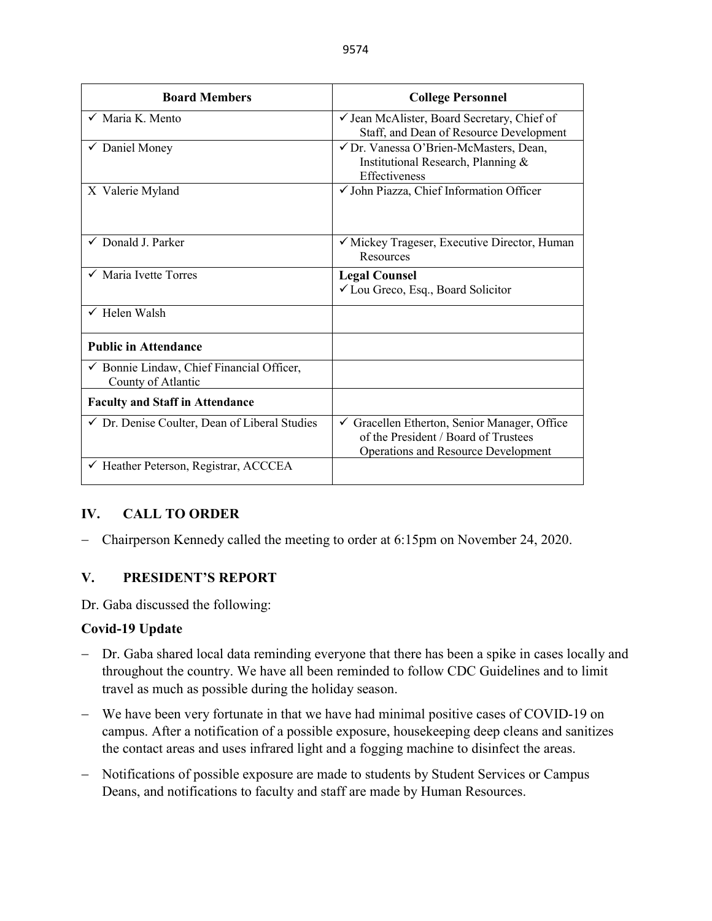| <b>Board Members</b>                                                       | <b>College Personnel</b>                                                                                                                      |  |  |
|----------------------------------------------------------------------------|-----------------------------------------------------------------------------------------------------------------------------------------------|--|--|
| $\checkmark$ Maria K. Mento                                                | $\checkmark$ Jean McAlister, Board Secretary, Chief of<br>Staff, and Dean of Resource Development                                             |  |  |
| ✔ Daniel Money                                                             | √ Dr. Vanessa O'Brien-McMasters, Dean,<br>Institutional Research, Planning &<br>Effectiveness                                                 |  |  |
| X Valerie Myland                                                           | √ John Piazza, Chief Information Officer                                                                                                      |  |  |
| $\checkmark$ Donald J. Parker                                              | ✓ Mickey Trageser, Executive Director, Human<br>Resources                                                                                     |  |  |
| $\checkmark$ Maria Ivette Torres                                           | <b>Legal Counsel</b><br>$\checkmark$ Lou Greco, Esq., Board Solicitor                                                                         |  |  |
| $\checkmark$ Helen Walsh                                                   |                                                                                                                                               |  |  |
| <b>Public in Attendance</b>                                                |                                                                                                                                               |  |  |
| $\checkmark$ Bonnie Lindaw, Chief Financial Officer,<br>County of Atlantic |                                                                                                                                               |  |  |
| <b>Faculty and Staff in Attendance</b>                                     |                                                                                                                                               |  |  |
| $\checkmark$ Dr. Denise Coulter, Dean of Liberal Studies                   | $\checkmark$ Gracellen Etherton, Senior Manager, Office<br>of the President / Board of Trustees<br><b>Operations and Resource Development</b> |  |  |
| ← Heather Peterson, Registrar, ACCCEA                                      |                                                                                                                                               |  |  |

### **IV. CALL TO ORDER**

− Chairperson Kennedy called the meeting to order at 6:15pm on November 24, 2020.

### **V. PRESIDENT'S REPORT**

Dr. Gaba discussed the following:

#### **Covid-19 Update**

- − Dr. Gaba shared local data reminding everyone that there has been a spike in cases locally and throughout the country. We have all been reminded to follow CDC Guidelines and to limit travel as much as possible during the holiday season.
- − We have been very fortunate in that we have had minimal positive cases of COVID-19 on campus. After a notification of a possible exposure, housekeeping deep cleans and sanitizes the contact areas and uses infrared light and a fogging machine to disinfect the areas.
- − Notifications of possible exposure are made to students by Student Services or Campus Deans, and notifications to faculty and staff are made by Human Resources.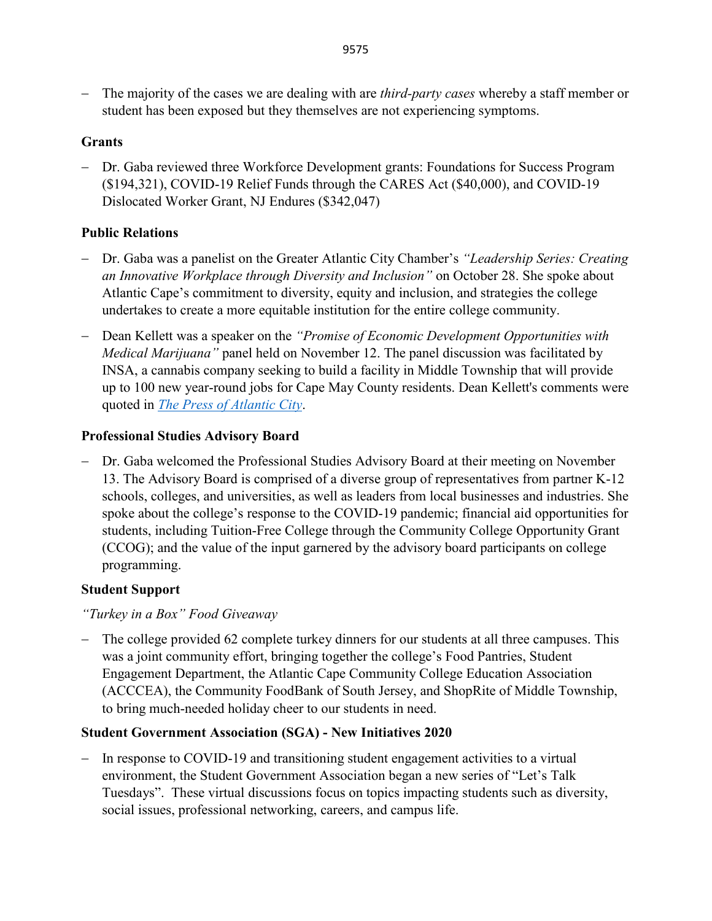− The majority of the cases we are dealing with are *third-party cases* whereby a staff member or student has been exposed but they themselves are not experiencing symptoms.

# **Grants**

− Dr. Gaba reviewed three Workforce Development grants: Foundations for Success Program (\$194,321), COVID-19 Relief Funds through the CARES Act (\$40,000), and COVID-19 Dislocated Worker Grant, NJ Endures (\$342,047)

## **Public Relations**

- − Dr. Gaba was a panelist on the Greater Atlantic City Chamber's *"Leadership Series: Creating an Innovative Workplace through Diversity and Inclusion"* on October 28. She spoke about Atlantic Cape's commitment to diversity, equity and inclusion, and strategies the college undertakes to create a more equitable institution for the entire college community.
- − Dean Kellett was a speaker on the *"Promise of Economic Development Opportunities with Medical Marijuana"* panel held on November 12. The panel discussion was facilitated by INSA, a cannabis company seeking to build a facility in Middle Township that will provide up to 100 new year-round jobs for Cape May County residents. Dean Kellett's comments were quoted in *[The Press of Atlantic City](https://pressofatlanticcity.com/news/local/could-cannabis-bring-job-boom-to-cape/article_26f70b1c-3254-55da-9d71-67e5928914f3.html?utm_medium=social&utm_source=email&utm_campaign=user-share)*.

## **Professional Studies Advisory Board**

− Dr. Gaba welcomed the Professional Studies Advisory Board at their meeting on November 13. The Advisory Board is comprised of a diverse group of representatives from partner K-12 schools, colleges, and universities, as well as leaders from local businesses and industries. She spoke about the college's response to the COVID-19 pandemic; financial aid opportunities for students, including Tuition-Free College through the Community College Opportunity Grant (CCOG); and the value of the input garnered by the advisory board participants on college programming.

# **Student Support**

*"Turkey in a Box" Food Giveaway*

− The college provided 62 complete turkey dinners for our students at all three campuses. This was a joint community effort, bringing together the college's Food Pantries, Student Engagement Department, the Atlantic Cape Community College Education Association (ACCCEA), the Community FoodBank of South Jersey, and ShopRite of Middle Township, to bring much-needed holiday cheer to our students in need.

# **Student Government Association (SGA) - New Initiatives 2020**

− In response to COVID-19 and transitioning student engagement activities to a virtual environment, the Student Government Association began a new series of "Let's Talk Tuesdays". These virtual discussions focus on topics impacting students such as diversity, social issues, professional networking, careers, and campus life.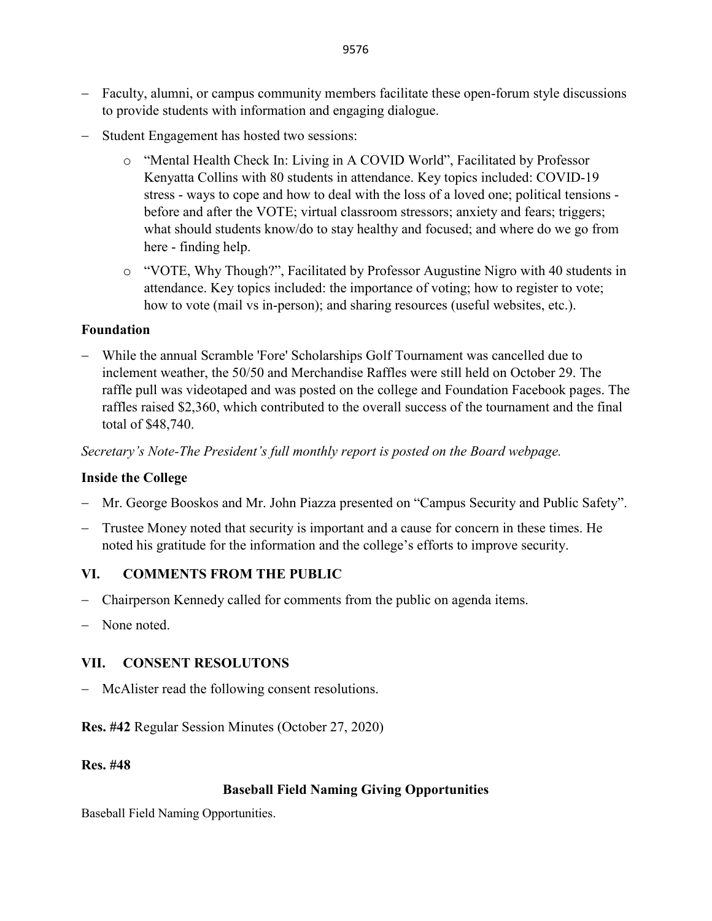− Student Engagement has hosted two sessions:

to provide students with information and engaging dialogue.

- o "Mental Health Check In: Living in A COVID World", Facilitated by Professor Kenyatta Collins with 80 students in attendance. Key topics included: COVID-19 stress - ways to cope and how to deal with the loss of a loved one; political tensions before and after the VOTE; virtual classroom stressors; anxiety and fears; triggers; what should students know/do to stay healthy and focused; and where do we go from here - finding help.
- o "VOTE, Why Though?", Facilitated by Professor Augustine Nigro with 40 students in attendance. Key topics included: the importance of voting; how to register to vote; how to vote (mail vs in-person); and sharing resources (useful websites, etc.).

#### **Foundation**

− While the annual Scramble 'Fore' Scholarships Golf Tournament was cancelled due to inclement weather, the 50/50 and Merchandise Raffles were still held on October 29. The raffle pull was videotaped and was posted on the college and Foundation Facebook pages. The raffles raised \$2,360, which contributed to the overall success of the tournament and the final total of \$48,740.

*Secretary's Note-The President's full monthly report is posted on the Board webpage.*

### **Inside the College**

- − Mr. George Booskos and Mr. John Piazza presented on "Campus Security and Public Safety".
- − Trustee Money noted that security is important and a cause for concern in these times. He noted his gratitude for the information and the college's efforts to improve security.

### **VI. COMMENTS FROM THE PUBLIC**

- Chairperson Kennedy called for comments from the public on agenda items.
- − None noted.

# **VII. CONSENT RESOLUTONS**

McAlister read the following consent resolutions.

**Res. #42** Regular Session Minutes (October 27, 2020)

#### **Res. #48**

### **Baseball Field Naming Giving Opportunities**

Baseball Field Naming Opportunities.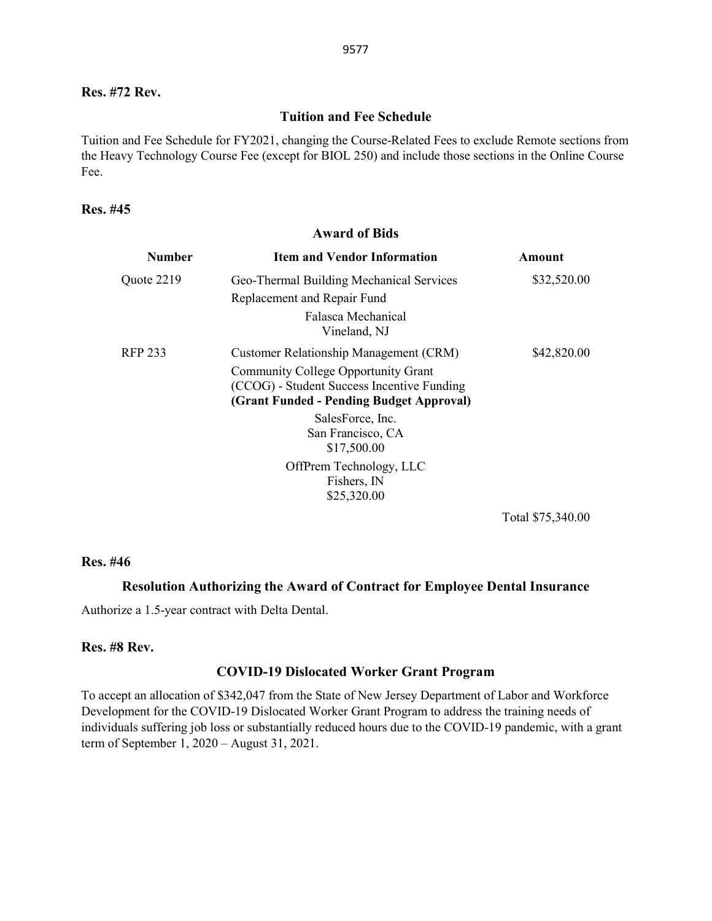#### **Res. #72 Rev.**

#### **Tuition and Fee Schedule**

Tuition and Fee Schedule for FY2021, changing the Course-Related Fees to exclude Remote sections from the Heavy Technology Course Fee (except for BIOL 250) and include those sections in the Online Course Fee.

#### **Res. #45**

| <b>Award of Bids</b> |                                                                                                                                                                                |             |  |
|----------------------|--------------------------------------------------------------------------------------------------------------------------------------------------------------------------------|-------------|--|
| <b>Number</b>        | <b>Item and Vendor Information</b>                                                                                                                                             | Amount      |  |
| Quote 2219           | Geo-Thermal Building Mechanical Services<br>Replacement and Repair Fund<br>Falasca Mechanical<br>Vineland, NJ                                                                  | \$32,520.00 |  |
| RFP 233              | Customer Relationship Management (CRM)<br><b>Community College Opportunity Grant</b><br>(CCOG) - Student Success Incentive Funding<br>(Grant Funded - Pending Budget Approval) | \$42,820.00 |  |
|                      | SalesForce, Inc.<br>San Francisco, CA<br>\$17,500.00<br>OffPrem Technology, LLC                                                                                                |             |  |
|                      | Fishers, IN<br>\$25,320.00                                                                                                                                                     |             |  |

Total \$75,340.00

#### **Res. #46**

#### **Resolution Authorizing the Award of Contract for Employee Dental Insurance**

Authorize a 1.5-year contract with Delta Dental.

### **Res. #8 Rev.**

#### **COVID-19 Dislocated Worker Grant Program**

To accept an allocation of \$342,047 from the State of New Jersey Department of Labor and Workforce Development for the COVID-19 Dislocated Worker Grant Program to address the training needs of individuals suffering job loss or substantially reduced hours due to the COVID-19 pandemic, with a grant term of September 1, 2020 – August 31, 2021.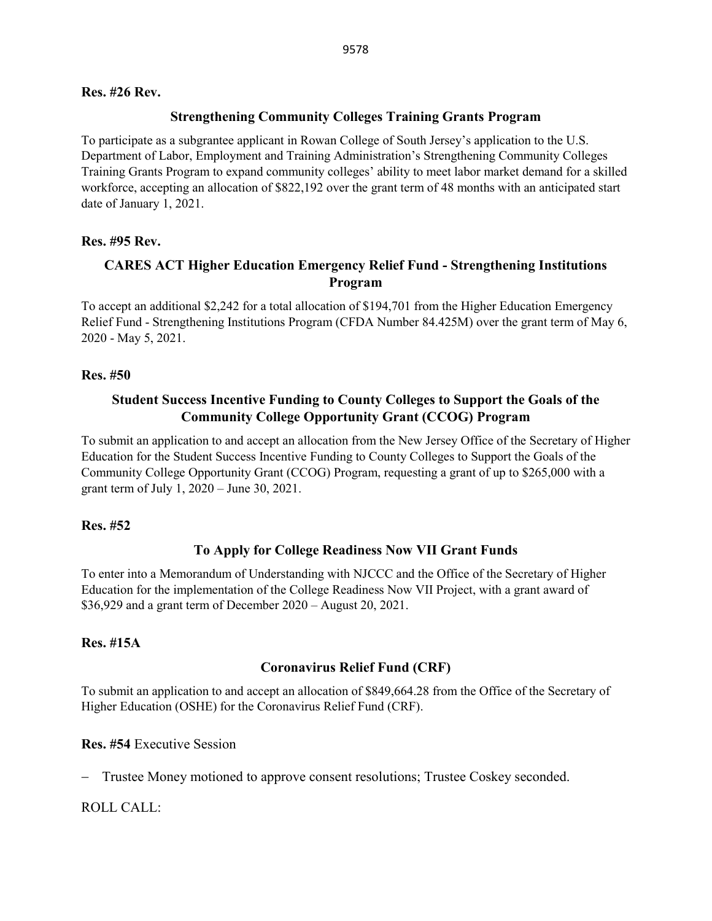#### **Res. #26 Rev.**

#### **Strengthening Community Colleges Training Grants Program**

To participate as a subgrantee applicant in Rowan College of South Jersey's application to the U.S. Department of Labor, Employment and Training Administration's Strengthening Community Colleges Training Grants Program to expand community colleges' ability to meet labor market demand for a skilled workforce, accepting an allocation of \$822,192 over the grant term of 48 months with an anticipated start date of January 1, 2021.

### **Res. #95 Rev.**

## **CARES ACT Higher Education Emergency Relief Fund - Strengthening Institutions Program**

To accept an additional \$2,242 for a total allocation of \$194,701 from the Higher Education Emergency Relief Fund - Strengthening Institutions Program (CFDA Number 84.425M) over the grant term of May 6, 2020 - May 5, 2021.

#### **Res. #50**

### **Student Success Incentive Funding to County Colleges to Support the Goals of the Community College Opportunity Grant (CCOG) Program**

To submit an application to and accept an allocation from the New Jersey Office of the Secretary of Higher Education for the Student Success Incentive Funding to County Colleges to Support the Goals of the Community College Opportunity Grant (CCOG) Program, requesting a grant of up to \$265,000 with a grant term of July 1, 2020 – June 30, 2021.

#### **Res. #52**

### **To Apply for College Readiness Now VII Grant Funds**

To enter into a Memorandum of Understanding with NJCCC and the Office of the Secretary of Higher Education for the implementation of the College Readiness Now VII Project, with a grant award of \$36,929 and a grant term of December 2020 – August 20, 2021.

#### **Res. #15A**

### **Coronavirus Relief Fund (CRF)**

To submit an application to and accept an allocation of \$849,664.28 from the Office of the Secretary of Higher Education (OSHE) for the Coronavirus Relief Fund (CRF).

#### **Res. #54** Executive Session

− Trustee Money motioned to approve consent resolutions; Trustee Coskey seconded.

#### ROLL CALL: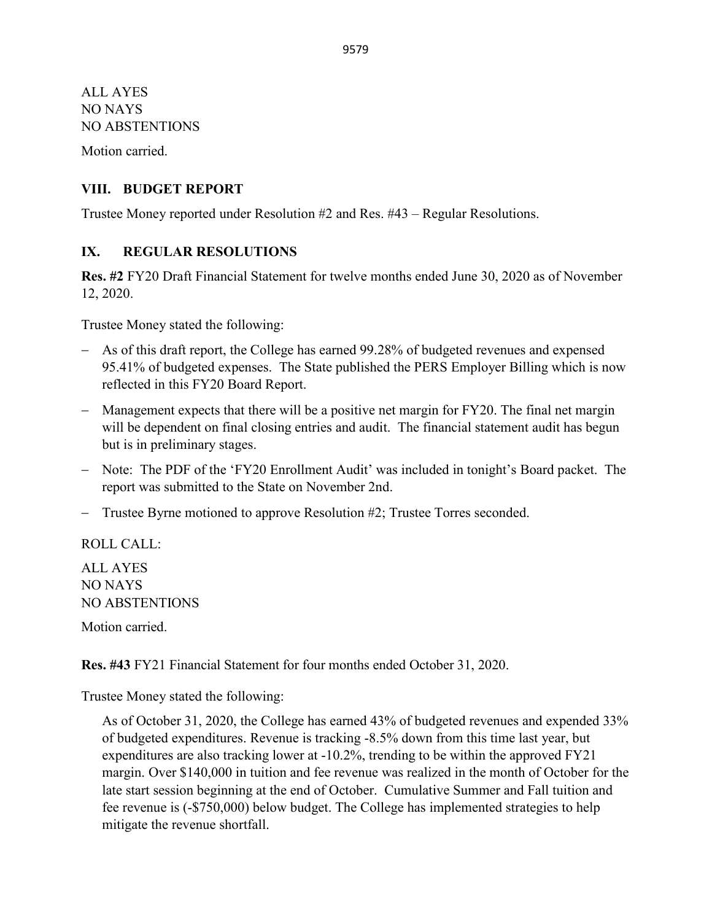ALL AYES NO NAYS NO ABSTENTIONS

Motion carried.

### **VIII. BUDGET REPORT**

Trustee Money reported under Resolution #2 and Res. #43 – Regular Resolutions.

### **IX. REGULAR RESOLUTIONS**

**Res. #2** FY20 Draft Financial Statement for twelve months ended June 30, 2020 as of November 12, 2020.

Trustee Money stated the following:

- − As of this draft report, the College has earned 99.28% of budgeted revenues and expensed 95.41% of budgeted expenses. The State published the PERS Employer Billing which is now reflected in this FY20 Board Report.
- − Management expects that there will be a positive net margin for FY20. The final net margin will be dependent on final closing entries and audit. The financial statement audit has begun but is in preliminary stages.
- − Note: The PDF of the 'FY20 Enrollment Audit' was included in tonight's Board packet. The report was submitted to the State on November 2nd.
- − Trustee Byrne motioned to approve Resolution #2; Trustee Torres seconded.

ROLL CALL:

ALL AYES NO NAYS NO ABSTENTIONS

Motion carried.

**Res. #43** FY21 Financial Statement for four months ended October 31, 2020.

Trustee Money stated the following:

As of October 31, 2020, the College has earned 43% of budgeted revenues and expended 33% of budgeted expenditures. Revenue is tracking -8.5% down from this time last year, but expenditures are also tracking lower at -10.2%, trending to be within the approved FY21 margin. Over \$140,000 in tuition and fee revenue was realized in the month of October for the late start session beginning at the end of October. Cumulative Summer and Fall tuition and fee revenue is (-\$750,000) below budget. The College has implemented strategies to help mitigate the revenue shortfall.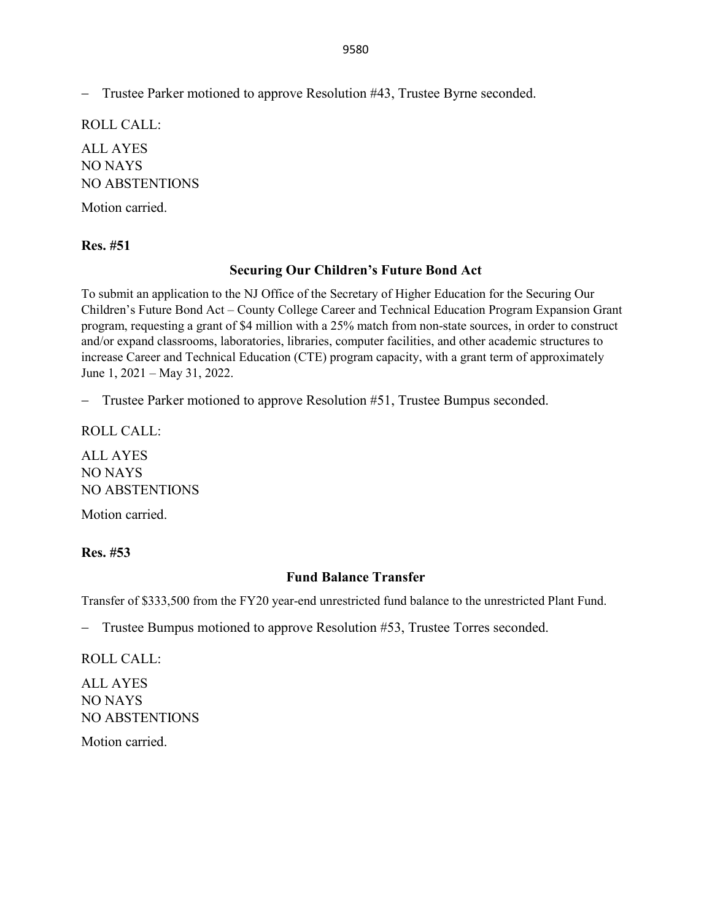− Trustee Parker motioned to approve Resolution #43, Trustee Byrne seconded.

ROLL CALL: ALL AYES NO NAYS NO ABSTENTIONS

Motion carried.

#### **Res. #51**

### **Securing Our Children's Future Bond Act**

To submit an application to the NJ Office of the Secretary of Higher Education for the Securing Our Children's Future Bond Act – County College Career and Technical Education Program Expansion Grant program, requesting a grant of \$4 million with a 25% match from non-state sources, in order to construct and/or expand classrooms, laboratories, libraries, computer facilities, and other academic structures to increase Career and Technical Education (CTE) program capacity, with a grant term of approximately June 1, 2021 – May 31, 2022.

− Trustee Parker motioned to approve Resolution #51, Trustee Bumpus seconded.

ROLL CALL:

ALL AYES NO NAYS NO ABSTENTIONS

Motion carried.

#### **Res. #53**

#### **Fund Balance Transfer**

Transfer of \$333,500 from the FY20 year-end unrestricted fund balance to the unrestricted Plant Fund.

− Trustee Bumpus motioned to approve Resolution #53, Trustee Torres seconded.

ROLL CALL:

ALL AYES NO NAYS NO ABSTENTIONS

Motion carried.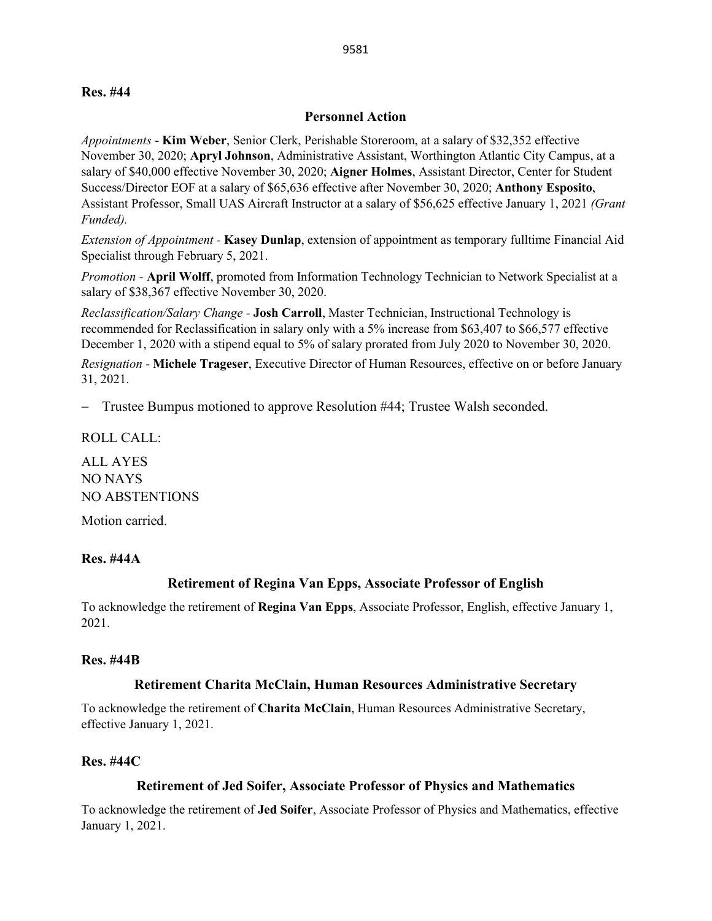#### **Personnel Action**

*Appointments* - **Kim Weber**, Senior Clerk, Perishable Storeroom, at a salary of \$32,352 effective November 30, 2020; **Apryl Johnson**, Administrative Assistant, Worthington Atlantic City Campus, at a salary of \$40,000 effective November 30, 2020; **Aigner Holmes**, Assistant Director, Center for Student Success/Director EOF at a salary of \$65,636 effective after November 30, 2020; **Anthony Esposito**, Assistant Professor, Small UAS Aircraft Instructor at a salary of \$56,625 effective January 1, 2021 *(Grant Funded).*

*Extension of Appointment -* **Kasey Dunlap**, extension of appointment as temporary fulltime Financial Aid Specialist through February 5, 2021.

*Promotion -* **April Wolff**, promoted from Information Technology Technician to Network Specialist at a salary of \$38,367 effective November 30, 2020.

*Reclassification/Salary Change -* **Josh Carroll**, Master Technician, Instructional Technology is recommended for Reclassification in salary only with a 5% increase from \$63,407 to \$66,577 effective December 1, 2020 with a stipend equal to 5% of salary prorated from July 2020 to November 30, 2020.

*Resignation* - **Michele Trageser**, Executive Director of Human Resources, effective on or before January 31, 2021.

− Trustee Bumpus motioned to approve Resolution #44; Trustee Walsh seconded.

ROLL CALL:

ALL AYES NO NAYS NO ABSTENTIONS

Motion carried.

#### **Res. #44A**

#### **Retirement of Regina Van Epps, Associate Professor of English**

To acknowledge the retirement of **Regina Van Epps**, Associate Professor, English, effective January 1, 2021.

#### **Res. #44B**

#### **Retirement Charita McClain, Human Resources Administrative Secretary**

To acknowledge the retirement of **Charita McClain**, Human Resources Administrative Secretary, effective January 1, 2021.

#### **Res. #44C**

#### **Retirement of Jed Soifer, Associate Professor of Physics and Mathematics**

To acknowledge the retirement of **Jed Soifer**, Associate Professor of Physics and Mathematics, effective January 1, 2021.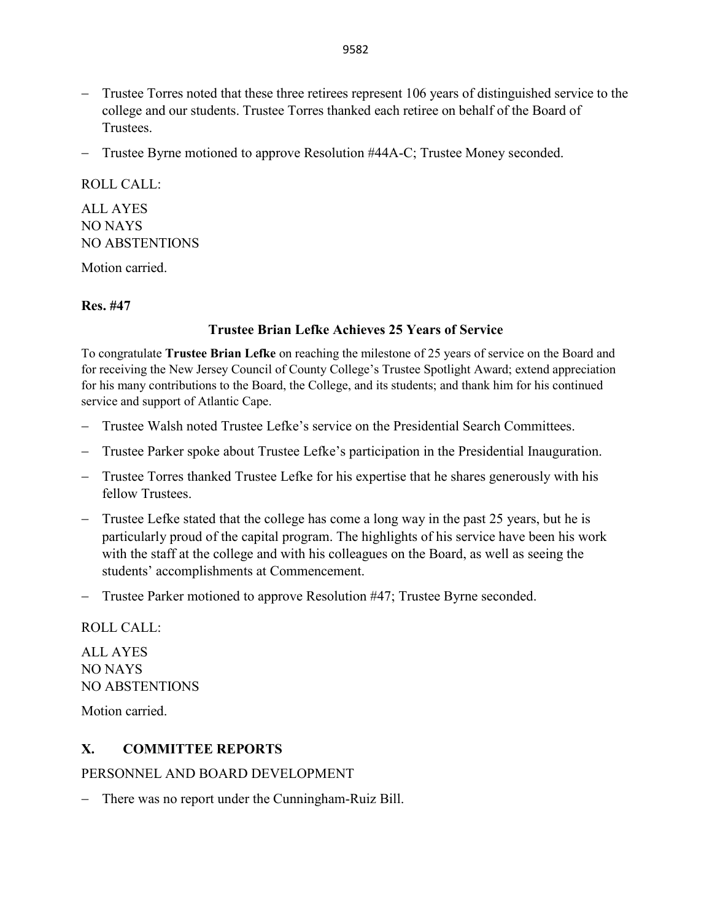- − Trustee Torres noted that these three retirees represent 106 years of distinguished service to the college and our students. Trustee Torres thanked each retiree on behalf of the Board of Trustees.
- − Trustee Byrne motioned to approve Resolution #44A-C; Trustee Money seconded.

# ROLL CALL: ALL AYES NO NAYS NO ABSTENTIONS

Motion carried.

### **Res. #47**

## **Trustee Brian Lefke Achieves 25 Years of Service**

To congratulate **Trustee Brian Lefke** on reaching the milestone of 25 years of service on the Board and for receiving the New Jersey Council of County College's Trustee Spotlight Award; extend appreciation for his many contributions to the Board, the College, and its students; and thank him for his continued service and support of Atlantic Cape.

- − Trustee Walsh noted Trustee Lefke's service on the Presidential Search Committees.
- − Trustee Parker spoke about Trustee Lefke's participation in the Presidential Inauguration.
- − Trustee Torres thanked Trustee Lefke for his expertise that he shares generously with his fellow Trustees.
- − Trustee Lefke stated that the college has come a long way in the past 25 years, but he is particularly proud of the capital program. The highlights of his service have been his work with the staff at the college and with his colleagues on the Board, as well as seeing the students' accomplishments at Commencement.
- − Trustee Parker motioned to approve Resolution #47; Trustee Byrne seconded.

### ROLL CALL:

ALL AYES NO NAYS NO ABSTENTIONS

Motion carried.

# **X. COMMITTEE REPORTS**

PERSONNEL AND BOARD DEVELOPMENT

− There was no report under the Cunningham-Ruiz Bill.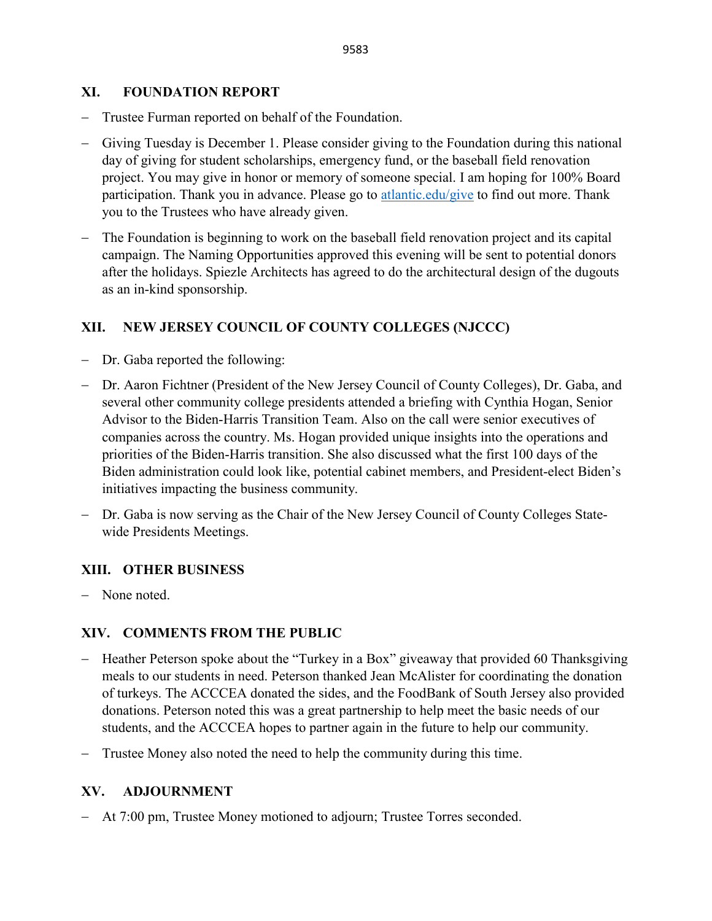### **XI. FOUNDATION REPORT**

- − Trustee Furman reported on behalf of the Foundation.
- − Giving Tuesday is December 1. Please consider giving to the Foundation during this national day of giving for student scholarships, emergency fund, or the baseball field renovation project. You may give in honor or memory of someone special. I am hoping for 100% Board participation. Thank you in advance. Please go to atlantic.edu/give to find out more. Thank you to the Trustees who have already given.
- − The Foundation is beginning to work on the baseball field renovation project and its capital campaign. The Naming Opportunities approved this evening will be sent to potential donors after the holidays. Spiezle Architects has agreed to do the architectural design of the dugouts as an in-kind sponsorship.

## **XII. NEW JERSEY COUNCIL OF COUNTY COLLEGES (NJCCC)**

- − Dr. Gaba reported the following:
- − Dr. Aaron Fichtner (President of the New Jersey Council of County Colleges), Dr. Gaba, and several other community college presidents attended a briefing with Cynthia Hogan, Senior Advisor to the Biden-Harris Transition Team. Also on the call were senior executives of companies across the country. Ms. Hogan provided unique insights into the operations and priorities of the Biden-Harris transition. She also discussed what the first 100 days of the Biden administration could look like, potential cabinet members, and President-elect Biden's initiatives impacting the business community.
- − Dr. Gaba is now serving as the Chair of the New Jersey Council of County Colleges Statewide Presidents Meetings.

### **XIII. OTHER BUSINESS**

− None noted.

### **XIV. COMMENTS FROM THE PUBLIC**

- − Heather Peterson spoke about the "Turkey in a Box" giveaway that provided 60 Thanksgiving meals to our students in need. Peterson thanked Jean McAlister for coordinating the donation of turkeys. The ACCCEA donated the sides, and the FoodBank of South Jersey also provided donations. Peterson noted this was a great partnership to help meet the basic needs of our students, and the ACCCEA hopes to partner again in the future to help our community.
- − Trustee Money also noted the need to help the community during this time.

### **XV. ADJOURNMENT**

− At 7:00 pm, Trustee Money motioned to adjourn; Trustee Torres seconded.